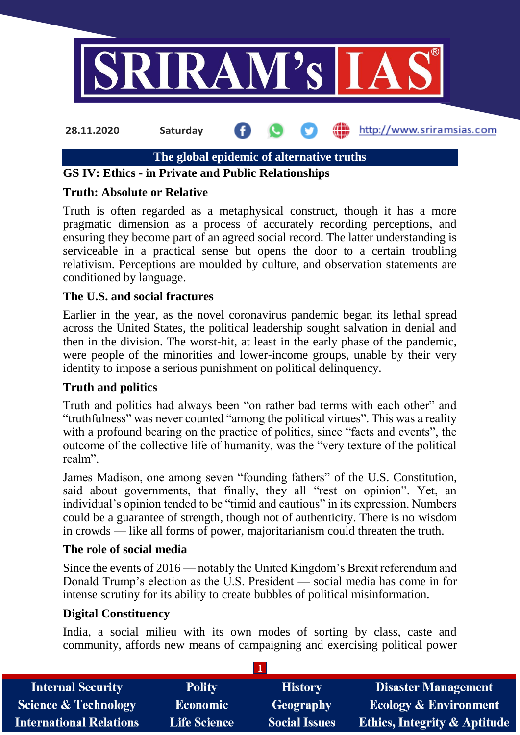

**28.11.2020 Saturday**

http://www.sriramsias.com

**The global epidemic of alternative truths**

# **GS IV: Ethics - in Private and Public Relationships**

# **Truth: Absolute or Relative**

Truth is often regarded as a metaphysical construct, though it has a more pragmatic dimension as a process of accurately recording perceptions, and ensuring they become part of an agreed social record. The latter understanding is serviceable in a practical sense but opens the door to a certain troubling relativism. Perceptions are moulded by culture, and observation statements are conditioned by language.

# **The U.S. and social fractures**

Earlier in the year, as the novel coronavirus pandemic began its lethal spread across the United States, the political leadership sought salvation in denial and then in the division. The worst-hit, at least in the early phase of the pandemic, were people of the minorities and lower-income groups, unable by their very identity to impose a serious punishment on political delinquency.

# **Truth and politics**

Truth and politics had always been "on rather bad terms with each other" and "truthfulness" was never counted "among the political virtues". This was a reality with a profound bearing on the practice of politics, since "facts and events", the outcome of the collective life of humanity, was the "very texture of the political realm".

James Madison, one among seven "founding fathers" of the U.S. Constitution, said about governments, that finally, they all "rest on opinion". Yet, an individual's opinion tended to be "timid and cautious" in its expression. Numbers could be a guarantee of strength, though not of authenticity. There is no wisdom in crowds — like all forms of power, majoritarianism could threaten the truth.

# **The role of social media**

Since the events of 2016 — notably the United Kingdom's Brexit referendum and Donald Trump's election as the U.S. President — social media has come in for intense scrutiny for its ability to create bubbles of political misinformation.

# **Digital Constituency**

India, a social milieu with its own modes of sorting by class, caste and community, affords new means of campaigning and exercising political power

| <b>Internal Security</b>        | <b>Polity</b>       | <b>History</b>       | <b>Disaster Management</b>              |
|---------------------------------|---------------------|----------------------|-----------------------------------------|
| <b>Science &amp; Technology</b> | <b>Economic</b>     | <b>Geography</b>     | <b>Ecology &amp; Environment</b>        |
| <b>International Relations</b>  | <b>Life Science</b> | <b>Social Issues</b> | <b>Ethics, Integrity &amp; Aptitude</b> |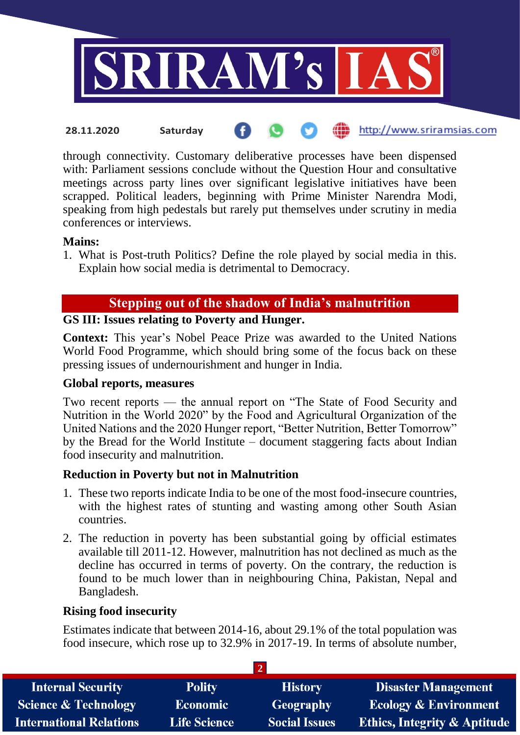

**fin** http://www.sriramsias.com **28.11.2020 Saturday**

through connectivity. Customary deliberative processes have been dispensed with: Parliament sessions conclude without the Question Hour and consultative meetings across party lines over significant legislative initiatives have been scrapped. Political leaders, beginning with Prime Minister Narendra Modi, speaking from high pedestals but rarely put themselves under scrutiny in media conferences or interviews.

### **Mains:**

1. What is Post-truth Politics? Define the role played by social media in this. Explain how social media is detrimental to Democracy.

# **Stepping out of the shadow of India's malnutrition**

# **GS III: Issues relating to Poverty and Hunger.**

**Context:** This year's Nobel Peace Prize was awarded to the United Nations World Food Programme, which should bring some of the focus back on these pressing issues of undernourishment and hunger in India.

#### **Global reports, measures**

Two recent reports — the annual report on "The State of Food Security and Nutrition in the World 2020" by the Food and Agricultural Organization of the United Nations and the 2020 Hunger report, "Better Nutrition, Better Tomorrow" by the Bread for the World Institute – document staggering facts about Indian food insecurity and malnutrition.

# **Reduction in Poverty but not in Malnutrition**

- 1. These two reports indicate India to be one of the most food-insecure countries, with the highest rates of stunting and wasting among other South Asian countries.
- 2. The reduction in poverty has been substantial going by official estimates available till 2011-12. However, malnutrition has not declined as much as the decline has occurred in terms of poverty. On the contrary, the reduction is found to be much lower than in neighbouring China, Pakistan, Nepal and Bangladesh.

# **Rising food insecurity**

Estimates indicate that between 2014-16, about 29.1% of the total population was food insecure, which rose up to 32.9% in 2017-19. In terms of absolute number,

| <b>Internal Security</b>        | <b>Polity</b>       | <b>History</b>       | <b>Disaster Management</b>              |
|---------------------------------|---------------------|----------------------|-----------------------------------------|
| <b>Science &amp; Technology</b> | <b>Economic</b>     | Geography            | <b>Ecology &amp; Environment</b>        |
| <b>International Relations</b>  | <b>Life Science</b> | <b>Social Issues</b> | <b>Ethics, Integrity &amp; Aptitude</b> |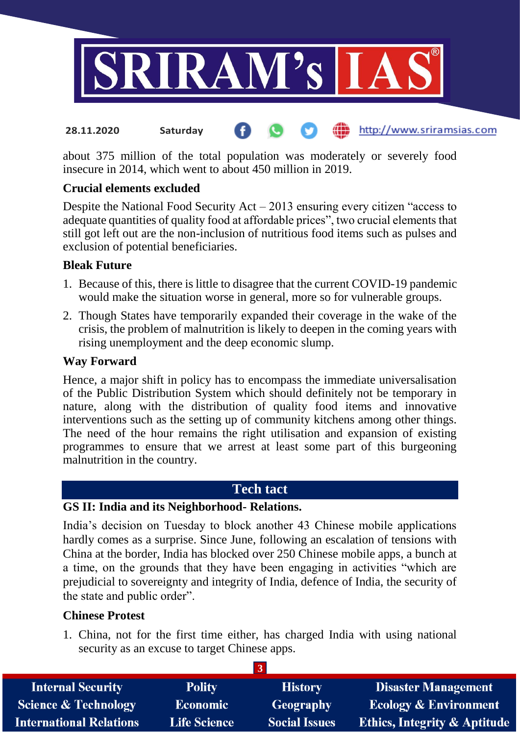

#### http://www.sriramsias.com **28.11.2020 Saturday**

about 375 million of the total population was moderately or severely food insecure in 2014, which went to about 450 million in 2019.

# **Crucial elements excluded**

Despite the National Food Security Act – 2013 ensuring every citizen "access to adequate quantities of quality food at affordable prices", two crucial elements that still got left out are the non-inclusion of nutritious food items such as pulses and exclusion of potential beneficiaries.

### **Bleak Future**

- 1. Because of this, there is little to disagree that the current COVID-19 pandemic would make the situation worse in general, more so for vulnerable groups.
- 2. Though States have temporarily expanded their coverage in the wake of the crisis, the problem of malnutrition is likely to deepen in the coming years with rising unemployment and the deep economic slump.

#### **Way Forward**

Hence, a major shift in policy has to encompass the immediate universalisation of the Public Distribution System which should definitely not be temporary in nature, along with the distribution of quality food items and innovative interventions such as the setting up of community kitchens among other things. The need of the hour remains the right utilisation and expansion of existing programmes to ensure that we arrest at least some part of this burgeoning malnutrition in the country.

# **Tech tact**

#### **GS II: India and its Neighborhood- Relations.**

India's decision on Tuesday to block another 43 Chinese mobile applications hardly comes as a surprise. Since June, following an escalation of tensions with China at the border, India has blocked over 250 Chinese mobile apps, a bunch at a time, on the grounds that they have been engaging in activities "which are prejudicial to sovereignty and integrity of India, defence of India, the security of the state and public order".

### **Chinese Protest**

1. China, not for the first time either, has charged India with using national security as an excuse to target Chinese apps.

**3**

| <b>Internal Security</b>        | <b>Polity</b>       | <b>History</b>       | <b>Disaster Management</b>              |
|---------------------------------|---------------------|----------------------|-----------------------------------------|
| <b>Science &amp; Technology</b> | <b>Economic</b>     | Geography            | <b>Ecology &amp; Environment</b>        |
| <b>International Relations</b>  | <b>Life Science</b> | <b>Social Issues</b> | <b>Ethics, Integrity &amp; Aptitude</b> |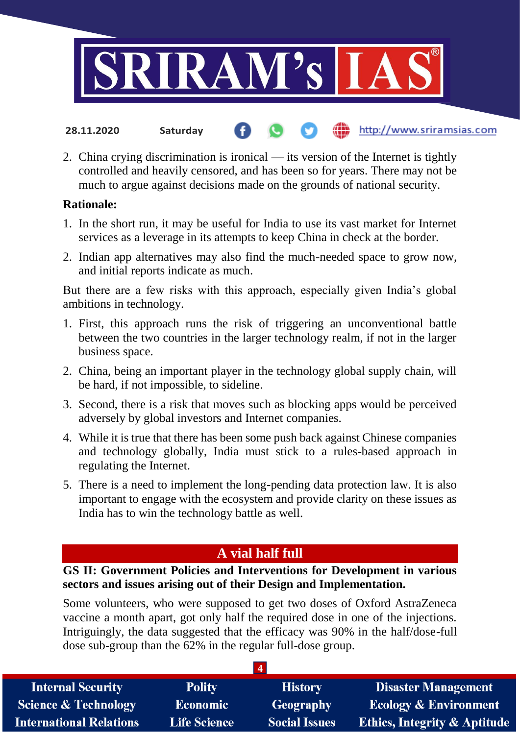

- http://www.sriramsias.com **28.11.2020 Saturday**
- 2. China crying discrimination is ironical its version of the Internet is tightly controlled and heavily censored, and has been so for years. There may not be much to argue against decisions made on the grounds of national security.

### **Rationale:**

- 1. In the short run, it may be useful for India to use its vast market for Internet services as a leverage in its attempts to keep China in check at the border.
- 2. Indian app alternatives may also find the much-needed space to grow now, and initial reports indicate as much.

But there are a few risks with this approach, especially given India's global ambitions in technology.

- 1. First, this approach runs the risk of triggering an unconventional battle between the two countries in the larger technology realm, if not in the larger business space.
- 2. China, being an important player in the technology global supply chain, will be hard, if not impossible, to sideline.
- 3. Second, there is a risk that moves such as blocking apps would be perceived adversely by global investors and Internet companies.
- 4. While it is true that there has been some push back against Chinese companies and technology globally, India must stick to a rules-based approach in regulating the Internet.
- 5. There is a need to implement the long-pending data protection law. It is also important to engage with the ecosystem and provide clarity on these issues as India has to win the technology battle as well.

# **A vial half full**

# **GS II: Government Policies and Interventions for Development in various sectors and issues arising out of their Design and Implementation.**

Some volunteers, who were supposed to get two doses of Oxford AstraZeneca vaccine a month apart, got only half the required dose in one of the injections. Intriguingly, the data suggested that the efficacy was 90% in the half/dose-full dose sub-group than the 62% in the regular full-dose group.

| <b>Internal Security</b>        | <b>Polity</b>       | <b>History</b>       | <b>Disaster Management</b>              |
|---------------------------------|---------------------|----------------------|-----------------------------------------|
| <b>Science &amp; Technology</b> | <b>Economic</b>     | Geography            | <b>Ecology &amp; Environment</b>        |
| <b>International Relations</b>  | <b>Life Science</b> | <b>Social Issues</b> | <b>Ethics, Integrity &amp; Aptitude</b> |